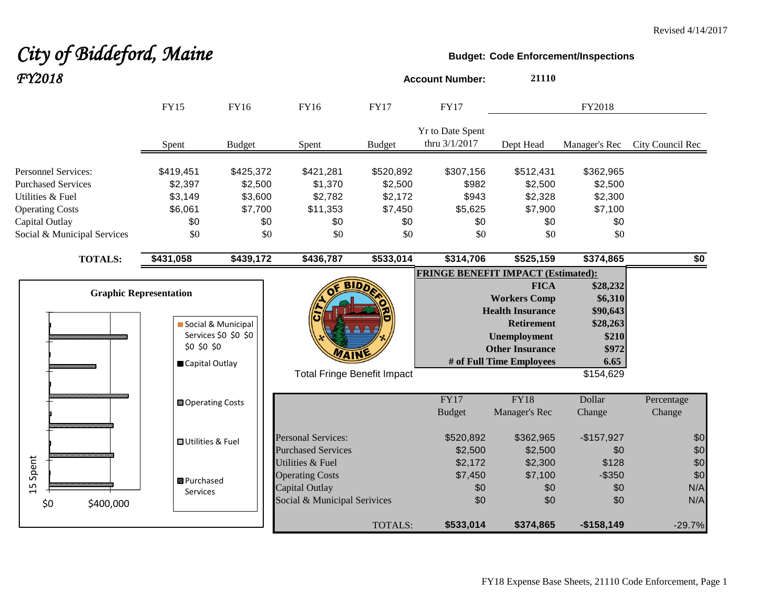# *City of Biddeford, Maine* **Budget:** Code Enforcement/Inspections

| FY2018                                                                      |                                 |                                            |                                                                                              |                                 | <b>Account Number:</b>                                 | 21110                                                                                          |                                    |                          |
|-----------------------------------------------------------------------------|---------------------------------|--------------------------------------------|----------------------------------------------------------------------------------------------|---------------------------------|--------------------------------------------------------|------------------------------------------------------------------------------------------------|------------------------------------|--------------------------|
|                                                                             | <b>FY15</b>                     | FY16                                       | FY16                                                                                         | <b>FY17</b>                     | <b>FY17</b>                                            |                                                                                                | FY2018                             |                          |
|                                                                             | Spent                           | <b>Budget</b>                              | Spent                                                                                        | <b>Budget</b>                   | Yr to Date Spent<br>thru 3/1/2017                      | Dept Head                                                                                      | Manager's Rec                      | City Council Rec         |
| <b>Personnel Services:</b><br><b>Purchased Services</b><br>Utilities & Fuel | \$419,451<br>\$2,397<br>\$3,149 | \$425,372<br>\$2,500<br>\$3,600            | \$421,281<br>\$1,370<br>\$2,782                                                              | \$520,892<br>\$2,500<br>\$2,172 | \$307,156<br>\$982<br>\$943                            | \$512,431<br>\$2,500<br>\$2,328                                                                | \$362,965<br>\$2,500<br>\$2,300    |                          |
| <b>Operating Costs</b><br>Capital Outlay                                    | \$6,061<br>\$0                  | \$7,700<br>\$0                             | \$11,353<br>\$0                                                                              | \$7,450<br>\$0                  | \$5,625<br>\$0                                         | \$7,900<br>\$0                                                                                 | \$7,100<br>\$0                     |                          |
| Social & Municipal Services                                                 | \$0                             |                                            | \$0<br>\$0                                                                                   | \$0                             | \$0                                                    | \$0                                                                                            | \$0                                |                          |
| <b>TOTALS:</b>                                                              | \$431,058                       | \$439,172                                  | \$436,787                                                                                    | \$533,014                       | \$314,706<br><b>FRINGE BENEFIT IMPACT (Estimated):</b> | \$525,159                                                                                      | \$374,865                          | $\overline{50}$          |
|                                                                             | <b>Graphic Representation</b>   |                                            |                                                                                              |                                 |                                                        | <b>FICA</b><br><b>Workers Comp</b><br><b>Health Insurance</b>                                  | \$28,232<br>\$6,310<br>\$90,643    |                          |
|                                                                             | \$0 \$0 \$0<br>Capital Outlay   | Social & Municipal<br>Services \$0 \$0 \$0 | <b><i>MAIN</i></b>                                                                           |                                 |                                                        | <b>Retirement</b><br><b>Unemployment</b><br><b>Other Insurance</b><br># of Full Time Employees | \$28,263<br>\$210<br>\$972<br>6.65 |                          |
|                                                                             |                                 |                                            | <b>Total Fringe Benefit Impact</b>                                                           |                                 |                                                        |                                                                                                | $\overline{$}154,629$              |                          |
|                                                                             | Operating Costs                 |                                            |                                                                                              |                                 | FY17<br><b>Budget</b>                                  | <b>FY18</b><br>Manager's Rec                                                                   | Dollar<br>Change                   | Percentage<br>Change     |
|                                                                             | <b>OUtilities &amp; Fuel</b>    |                                            | <b>Personal Services:</b><br><b>Purchased Services</b>                                       |                                 | \$520,892<br>\$2,500                                   | \$362,965<br>\$2,500                                                                           | $-$157,927$<br>\$0                 | \$0<br>$$0$              |
| Spent<br>15<br>\$0<br>\$400,000                                             | 图 Purchased<br>Services         |                                            | Utilities & Fuel<br><b>Operating Costs</b><br>Capital Outlay<br>Social & Municipal Serivices |                                 | \$2,172<br>\$7,450<br>\$0<br>\$0                       | \$2,300<br>\$7,100<br>\$0<br>\$0                                                               | \$128<br>$-$ \$350<br>\$0<br>\$0   | \$0<br>\$0<br>N/A<br>N/A |
|                                                                             |                                 |                                            |                                                                                              | <b>TOTALS:</b>                  | \$533,014                                              | \$374,865                                                                                      | $-$158,149$                        | $-29.7%$                 |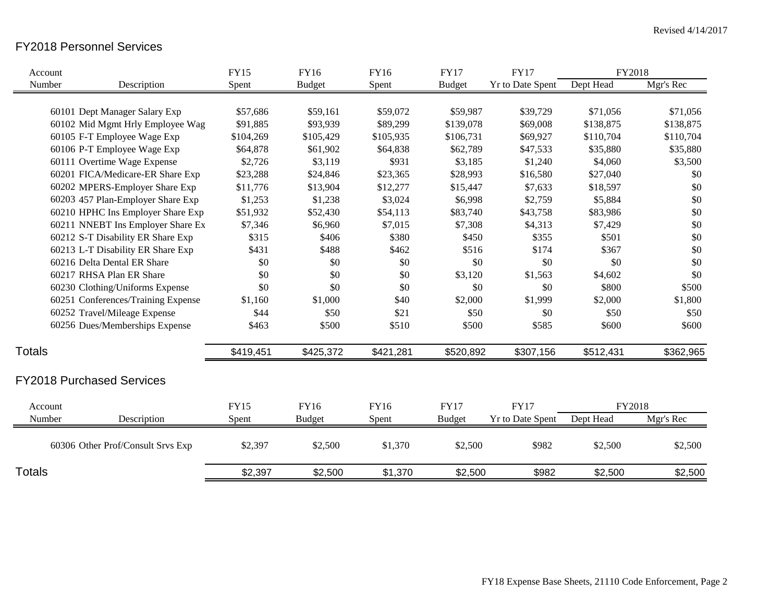### FY2018 Personnel Services

| Account       |                                    | <b>FY15</b> | <b>FY16</b>   | <b>FY16</b> | <b>FY17</b>   | <b>FY17</b>             | FY2018    |           |
|---------------|------------------------------------|-------------|---------------|-------------|---------------|-------------------------|-----------|-----------|
| Number        | Description                        | Spent       | <b>Budget</b> | Spent       | <b>Budget</b> | Yr to Date Spent        | Dept Head | Mgr's Rec |
|               |                                    |             |               |             |               |                         |           |           |
|               | 60101 Dept Manager Salary Exp      | \$57,686    | \$59,161      | \$59,072    | \$59,987      | \$39,729                | \$71,056  | \$71,056  |
|               | 60102 Mid Mgmt Hrly Employee Wag   | \$91,885    | \$93,939      | \$89,299    | \$139,078     | \$69,008                | \$138,875 | \$138,875 |
|               | 60105 F-T Employee Wage Exp        | \$104,269   | \$105,429     | \$105,935   | \$106,731     | \$69,927                | \$110,704 | \$110,704 |
|               | 60106 P-T Employee Wage Exp        | \$64,878    | \$61,902      | \$64,838    | \$62,789      | \$47,533                | \$35,880  | \$35,880  |
|               | 60111 Overtime Wage Expense        | \$2,726     | \$3,119       | \$931       | \$3,185       | \$1,240                 | \$4,060   | \$3,500   |
|               | 60201 FICA/Medicare-ER Share Exp   | \$23,288    | \$24,846      | \$23,365    | \$28,993      | \$16,580                | \$27,040  | \$0       |
|               | 60202 MPERS-Employer Share Exp     | \$11,776    | \$13,904      | \$12,277    | \$15,447      | \$7,633                 | \$18,597  | \$0       |
|               | 60203 457 Plan-Employer Share Exp  | \$1,253     | \$1,238       | \$3,024     | \$6,998       | \$2,759                 | \$5,884   | \$0       |
|               | 60210 HPHC Ins Employer Share Exp  | \$51,932    | \$52,430      | \$54,113    | \$83,740      | \$43,758                | \$83,986  | \$0       |
|               | 60211 NNEBT Ins Employer Share Ex  | \$7,346     | \$6,960       | \$7,015     | \$7,308       | \$4,313                 | \$7,429   | \$0       |
|               | 60212 S-T Disability ER Share Exp  | \$315       | \$406         | \$380       | \$450         | \$355                   | \$501     | \$0       |
|               | 60213 L-T Disability ER Share Exp  | \$431       | \$488         | \$462       | \$516         | \$174                   | \$367     | \$0       |
|               | 60216 Delta Dental ER Share        | \$0         | \$0           | \$0         | \$0           | \$0                     | \$0       | \$0       |
|               | 60217 RHSA Plan ER Share           | \$0         | \$0           | \$0         | \$3,120       | \$1,563                 | \$4,602   | \$0       |
|               | 60230 Clothing/Uniforms Expense    | \$0         | \$0           | \$0         | \$0           | \$0                     | \$800     | \$500     |
|               | 60251 Conferences/Training Expense | \$1,160     | \$1,000       | \$40        | \$2,000       | \$1,999                 | \$2,000   | \$1,800   |
|               | 60252 Travel/Mileage Expense       | \$44        | \$50          | \$21        | \$50          | \$0                     | \$50      | \$50      |
|               | 60256 Dues/Memberships Expense     | \$463       | \$500         | \$510       | \$500         | \$585                   | \$600     | \$600     |
| Totals        |                                    | \$419,451   | \$425,372     | \$421,281   | \$520,892     | \$307,156               | \$512,431 | \$362,965 |
|               | <b>FY2018 Purchased Services</b>   |             |               |             |               |                         |           |           |
|               |                                    |             |               |             |               |                         |           |           |
| Account       |                                    | <b>FY15</b> | <b>FY16</b>   | <b>FY16</b> | <b>FY17</b>   | <b>FY17</b>             | FY2018    |           |
| Number        | Description                        | Spent       | <b>Budget</b> | Spent       | <b>Budget</b> | <b>Yr to Date Spent</b> | Dept Head | Mgr's Rec |
|               | 60306 Other Prof/Consult Srvs Exp  | \$2,397     | \$2,500       | \$1,370     | \$2,500       | \$982                   | \$2,500   | \$2,500   |
| <b>Totals</b> |                                    | \$2,397     | \$2,500       | \$1,370     | \$2,500       | \$982                   | \$2,500   | \$2,500   |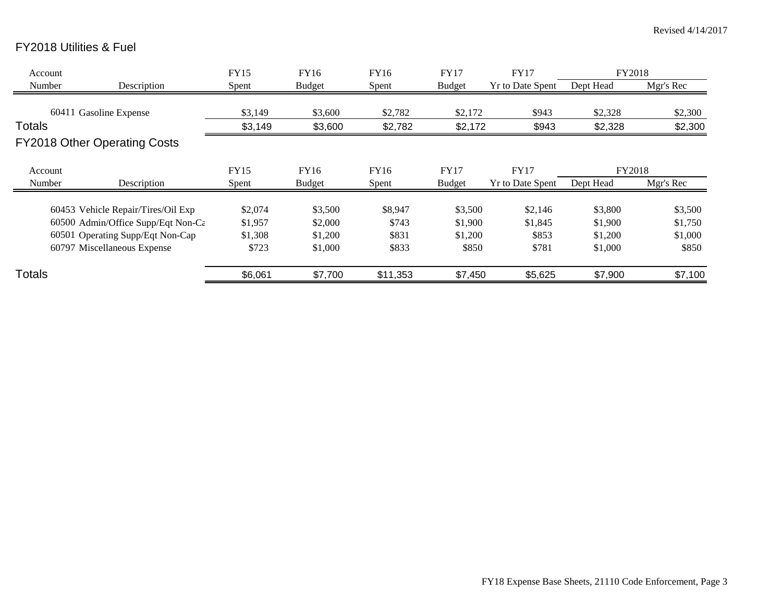## FY2018 Utilities & Fuel

| Account       |                                    | <b>FY15</b> | FY16          | FY16     | <b>FY17</b>   | <b>FY17</b>             | FY2018    |           |
|---------------|------------------------------------|-------------|---------------|----------|---------------|-------------------------|-----------|-----------|
| Number        | Description                        | Spent       | <b>Budget</b> | Spent    | <b>Budget</b> | <b>Yr to Date Spent</b> | Dept Head | Mgr's Rec |
|               |                                    |             |               |          |               |                         |           |           |
|               | 60411 Gasoline Expense             | \$3,149     | \$3,600       | \$2,782  | \$2,172       | \$943                   | \$2,328   | \$2,300   |
| Totals        |                                    | \$3,149     | \$3,600       | \$2,782  | \$2,172       | \$943                   | \$2,328   | \$2,300   |
|               | FY2018 Other Operating Costs       |             |               |          |               |                         |           |           |
| Account       |                                    | <b>FY15</b> | FY16          | FY16     | <b>FY17</b>   | <b>FY17</b>             | FY2018    |           |
| Number        | Description                        | Spent       | <b>Budget</b> | Spent    | <b>Budget</b> | <b>Yr to Date Spent</b> | Dept Head | Mgr's Rec |
|               | 60453 Vehicle Repair/Tires/Oil Exp | \$2,074     | \$3,500       | \$8,947  | \$3,500       | \$2,146                 | \$3,800   | \$3,500   |
|               | 60500 Admin/Office Supp/Eqt Non-Cε | \$1,957     | \$2,000       | \$743    | \$1,900       | \$1,845                 | \$1,900   | \$1,750   |
|               | 60501 Operating Supp/Eqt Non-Cap   | \$1,308     | \$1,200       | \$831    | \$1,200       | \$853                   | \$1,200   | \$1,000   |
|               | 60797 Miscellaneous Expense        | \$723       | \$1,000       | \$833    | \$850         | \$781                   | \$1,000   | \$850     |
| <b>Totals</b> |                                    | \$6,061     | \$7,700       | \$11,353 | \$7,450       | \$5,625                 | \$7,900   | \$7,100   |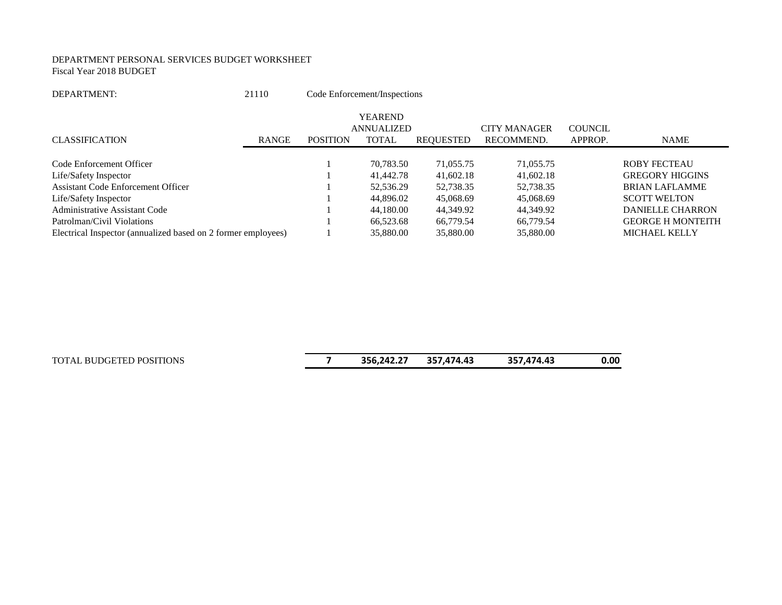#### DEPARTMENT PERSONAL SERVICES BUDGET WORKSHEET Fiscal Year 2018 BUDGET

| DEPARTMENT: | 21110 | Code Enforcement/Inspections |
|-------------|-------|------------------------------|
|             |       |                              |

|                                                               |              |                 | <b>YEAREND</b>    |           |                     |                |                          |
|---------------------------------------------------------------|--------------|-----------------|-------------------|-----------|---------------------|----------------|--------------------------|
|                                                               |              |                 | <b>ANNUALIZED</b> |           | <b>CITY MANAGER</b> | <b>COUNCIL</b> |                          |
| <b>CLASSIFICATION</b>                                         | <b>RANGE</b> | <b>POSITION</b> | <b>TOTAL</b>      | REOUESTED | RECOMMEND.          | APPROP.        | NAME                     |
|                                                               |              |                 |                   |           |                     |                |                          |
| Code Enforcement Officer                                      |              |                 | 70,783.50         | 71,055.75 | 71,055.75           |                | <b>ROBY FECTEAU</b>      |
| Life/Safety Inspector                                         |              |                 | 41,442.78         | 41,602.18 | 41,602.18           |                | <b>GREGORY HIGGINS</b>   |
| <b>Assistant Code Enforcement Officer</b>                     |              |                 | 52,536.29         | 52,738.35 | 52,738.35           |                | <b>BRIAN LAFLAMME</b>    |
| Life/Safety Inspector                                         |              |                 | 44,896.02         | 45,068.69 | 45,068.69           |                | <b>SCOTT WELTON</b>      |
| <b>Administrative Assistant Code</b>                          |              |                 | 44,180.00         | 44,349.92 | 44,349.92           |                | DANIELLE CHARRON         |
| Patrolman/Civil Violations                                    |              |                 | 66,523.68         | 66,779.54 | 66,779.54           |                | <b>GEORGE H MONTEITH</b> |
| Electrical Inspector (annualized based on 2 former employees) |              |                 | 35,880.00         | 35,880.00 | 35,880.00           |                | <b>MICHAEL KELLY</b>     |

TOTAL BUDGETED POSITIONS **7 356,242.27 357,474.43 357,474.43 0.00**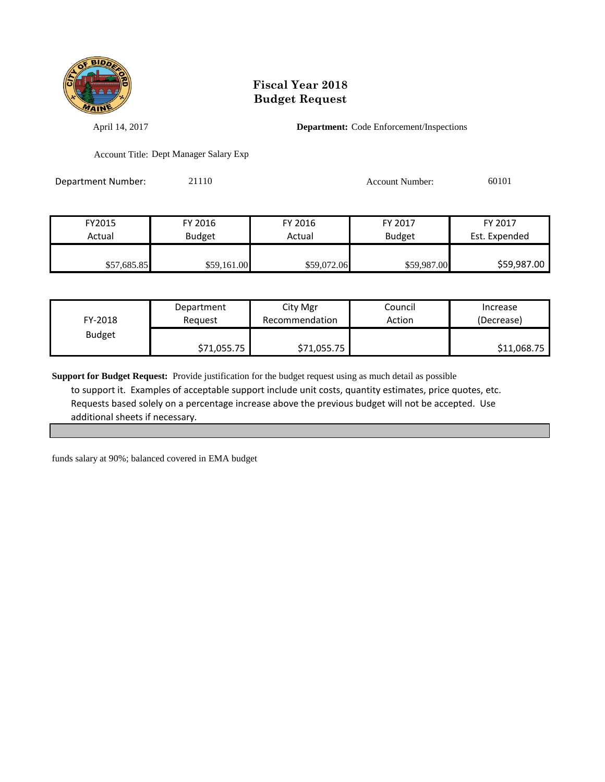

April 14, 2017 **Department:** Code Enforcement/Inspections

Account Title: Dept Manager Salary Exp

Department Number: 21110 21110 Account Number: 60101

| FY2015      | FY 2016       | FY 2016     | FY 2017       | FY 2017       |
|-------------|---------------|-------------|---------------|---------------|
| Actual      | <b>Budget</b> | Actual      | <b>Budget</b> | Est. Expended |
|             |               |             |               |               |
| \$57,685.85 | \$59,161.00   | \$59,072.06 | \$59,987.00   | \$59,987.00   |

| FY-2018       | Department  | City Mgr       | Council | Increase    |
|---------------|-------------|----------------|---------|-------------|
|               | Reguest     | Recommendation | Action  | (Decrease)  |
| <b>Budget</b> | \$71,055.75 | \$71,055.75    |         | \$11,068.75 |

**Support for Budget Request:** Provide justification for the budget request using as much detail as possible to support it. Examples of acceptable support include unit costs, quantity estimates, price quotes, etc. Requests based solely on a percentage increase above the previous budget will not be accepted. Use additional sheets if necessary.

funds salary at 90%; balanced covered in EMA budget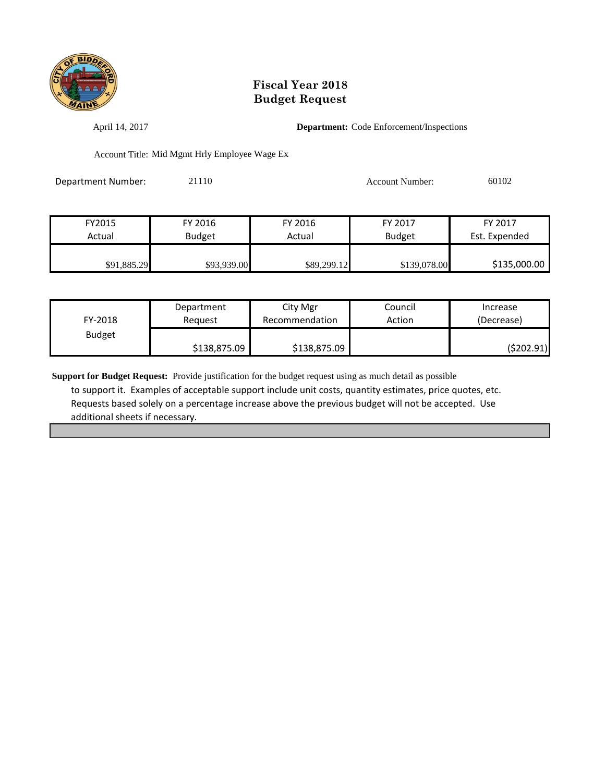

April 14, 2017 **Department:** Code Enforcement/Inspections

Account Title: Mid Mgmt Hrly Employee Wage Ex

Department Number: 21110 21110 Account Number: 60102

| FY2015      | FY 2016       | FY 2016     | FY 2017       | FY 2017       |
|-------------|---------------|-------------|---------------|---------------|
| Actual      | <b>Budget</b> | Actual      | <b>Budget</b> | Est. Expended |
|             |               |             |               |               |
| \$91,885.29 | \$93,939.00   | \$89,299.12 | \$139,078.00  | \$135,000.00  |

| FY-2018       | Department   | City Mgr       | Council | Increase   |
|---------------|--------------|----------------|---------|------------|
|               | Reauest      | Recommendation | Action  | (Decrease) |
| <b>Budget</b> | \$138,875.09 | \$138,875.09   |         | (\$202.91) |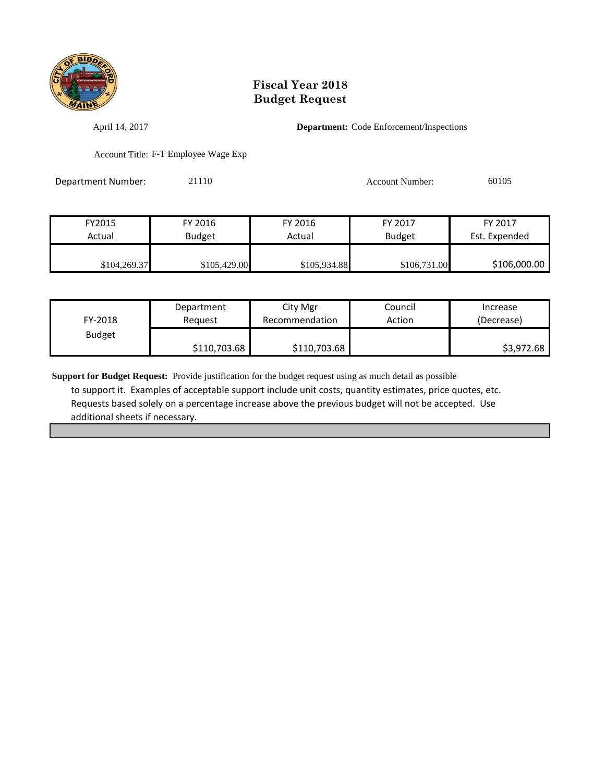

April 14, 2017 **Department:** Code Enforcement/Inspections

Account Title: F-T Employee Wage Exp

Department Number: 21110 21110 Account Number: 60105

| FY2015       | FY 2016       | FY 2016      | FY 2017      | FY 2017       |
|--------------|---------------|--------------|--------------|---------------|
| Actual       | <b>Budget</b> | Actual       | Budget       | Est. Expended |
|              |               |              |              |               |
| \$104,269.37 | \$105,429.00  | \$105,934.88 | \$106,731.00 | \$106,000.00  |

| FY-2018       | Department   | City Mgr       | Council | Increase   |
|---------------|--------------|----------------|---------|------------|
|               | Reauest      | Recommendation | Action  | (Decrease) |
| <b>Budget</b> | \$110,703.68 | \$110,703.68   |         | \$3,972.68 |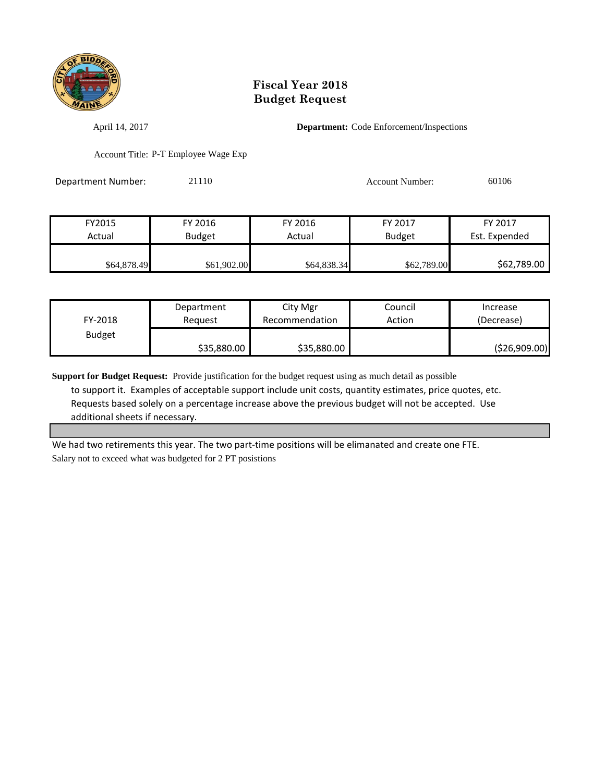

April 14, 2017 **Department:** Code Enforcement/Inspections

Account Title: P-T Employee Wage Exp

Department Number: 21110 21110 Account Number: 60106

| FY2015      | FY 2016       | FY 2016     | FY 2017       | FY 2017       |
|-------------|---------------|-------------|---------------|---------------|
| Actual      | <b>Budget</b> | Actual      | <b>Budget</b> | Est. Expended |
|             |               |             |               |               |
| \$64,878.49 | \$61,902.00   | \$64,838.34 | \$62,789.00   | \$62,789.00   |

| FY-2018       | Department  | City Mgr       | Council | Increase      |
|---------------|-------------|----------------|---------|---------------|
|               | Reauest     | Recommendation | Action  | (Decrease)    |
| <b>Budget</b> | \$35,880.00 | \$35,880.00    |         | (\$26,909.00) |

**Support for Budget Request:** Provide justification for the budget request using as much detail as possible to support it. Examples of acceptable support include unit costs, quantity estimates, price quotes, etc. Requests based solely on a percentage increase above the previous budget will not be accepted. Use additional sheets if necessary.

We had two retirements this year. The two part-time positions will be elimanated and create one FTE. Salary not to exceed what was budgeted for 2 PT posistions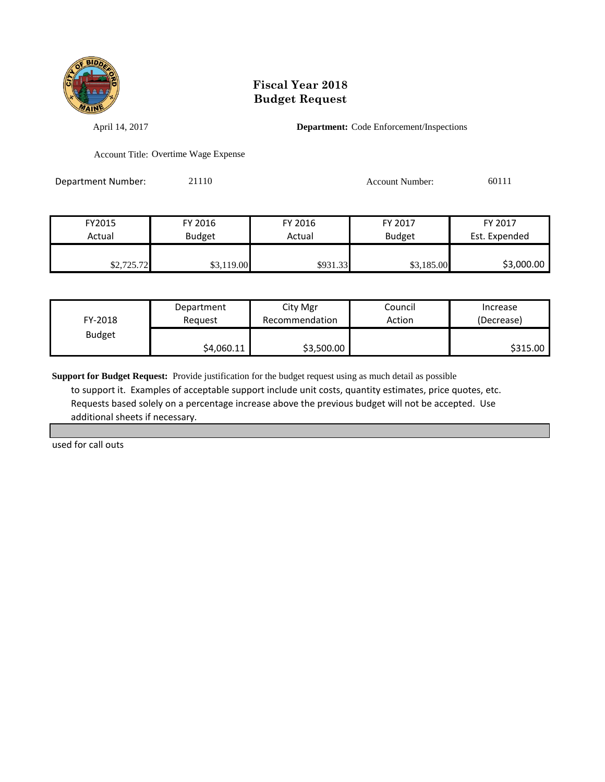

April 14, 2017 **Department:** Code Enforcement/Inspections

Account Title: Overtime Wage Expense

Department Number: 21110 21110 Account Number: 60111

| FY2015     | FY 2016    | FY 2016           | FY 2017       | FY 2017       |
|------------|------------|-------------------|---------------|---------------|
| Actual     | Budget     | Actual            | <b>Budget</b> | Est. Expended |
|            |            |                   |               |               |
| \$2,725.72 | \$3,119.00 | \$931.33 <b>1</b> | \$3,185.00    | \$3,000.00    |

| FY-2018       | Department | City Mgr       | Council | Increase   |
|---------------|------------|----------------|---------|------------|
|               | Reauest    | Recommendation | Action  | (Decrease) |
| <b>Budget</b> | \$4,060.11 | \$3,500.00     |         | \$315.00   |

**Support for Budget Request:** Provide justification for the budget request using as much detail as possible to support it. Examples of acceptable support include unit costs, quantity estimates, price quotes, etc. Requests based solely on a percentage increase above the previous budget will not be accepted. Use additional sheets if necessary.

used for call outs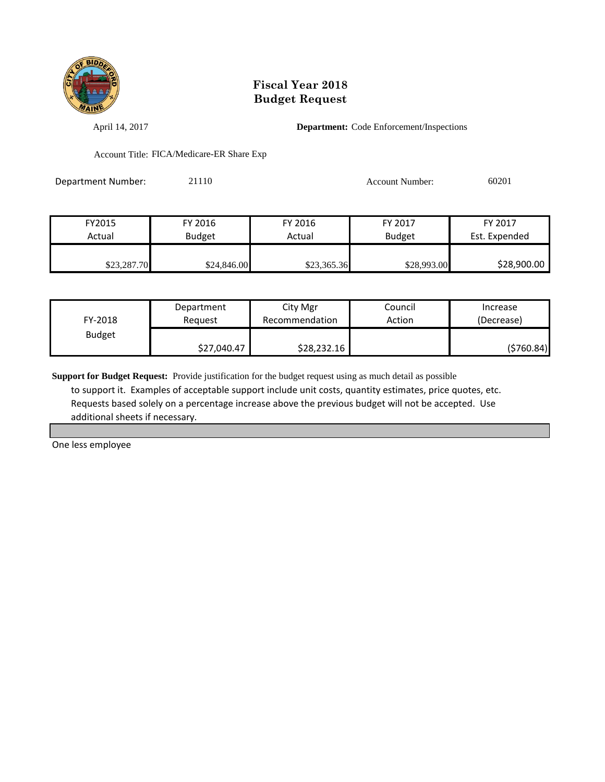

April 14, 2017 **Department:** Code Enforcement/Inspections

Account Title: FICA/Medicare-ER Share Exp

Department Number: 21110 21110 Account Number: 60201

| FY 2017       | FY 2017       | FY 2016     | FY 2016     | FY2015      |
|---------------|---------------|-------------|-------------|-------------|
| Est. Expended | <b>Budget</b> | Actual      | Budget      | Actual      |
|               |               |             |             |             |
| \$28,900.00   | \$28,993.00   | \$23,365.36 | \$24,846.00 | \$23,287.70 |

| FY-2018       | Department  | City Mgr       | Council | Increase   |
|---------------|-------------|----------------|---------|------------|
|               | Reauest     | Recommendation | Action  | (Decrease) |
| <b>Budget</b> | \$27,040.47 | \$28,232.16    |         | (\$760.84) |

**Support for Budget Request:** Provide justification for the budget request using as much detail as possible to support it. Examples of acceptable support include unit costs, quantity estimates, price quotes, etc. Requests based solely on a percentage increase above the previous budget will not be accepted. Use additional sheets if necessary.

One less employee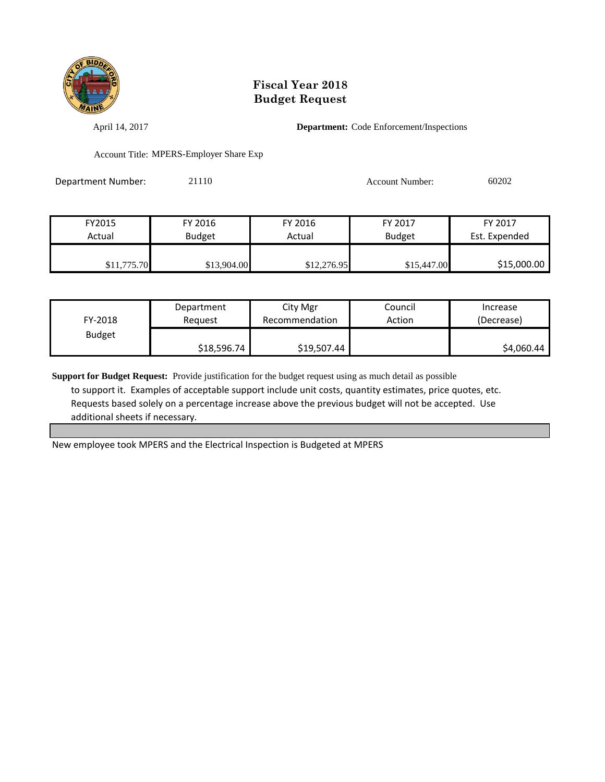

April 14, 2017 **Department:** Code Enforcement/Inspections

Account Title: MPERS-Employer Share Exp

Department Number: 21110 21110 Account Number: 60202

| FY2015      | FY 2016     | FY 2016     | FY 2017       | FY 2017       |
|-------------|-------------|-------------|---------------|---------------|
| Actual      | Budget      | Actual      | <b>Budget</b> | Est. Expended |
|             |             |             |               |               |
| \$11,775.70 | \$13,904.00 | \$12,276.95 | \$15,447.00   | \$15,000.00   |

| FY-2018       | Department  | City Mgr       | Council | Increase   |
|---------------|-------------|----------------|---------|------------|
|               | Reauest     | Recommendation | Action  | (Decrease) |
| <b>Budget</b> | \$18,596.74 | \$19,507.44    |         | \$4,060.44 |

**Support for Budget Request:** Provide justification for the budget request using as much detail as possible to support it. Examples of acceptable support include unit costs, quantity estimates, price quotes, etc. Requests based solely on a percentage increase above the previous budget will not be accepted. Use additional sheets if necessary.

New employee took MPERS and the Electrical Inspection is Budgeted at MPERS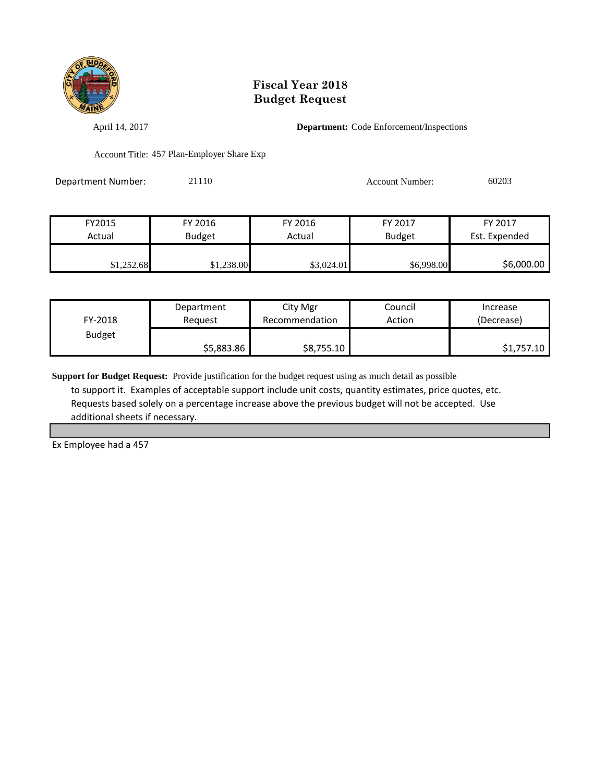

April 14, 2017 **Department:** Code Enforcement/Inspections

Account Title: 457 Plan-Employer Share Exp

| Department Number: | 21110 | Account Number: | 60203 |
|--------------------|-------|-----------------|-------|
|                    |       |                 |       |

| FY2015     | FY 2016       | FY 2016    | FY 2017       | FY 2017       |
|------------|---------------|------------|---------------|---------------|
| Actual     | <b>Budget</b> | Actual     | <b>Budget</b> | Est. Expended |
|            |               |            |               |               |
| \$1,252.68 | \$1,238.00    | \$3,024.01 | \$6,998.00    | \$6,000.00    |

| FY-2018       | Department | City Mgr       | Council | Increase   |
|---------------|------------|----------------|---------|------------|
|               | Reauest    | Recommendation | Action  | (Decrease) |
| <b>Budget</b> | \$5,883.86 | \$8,755.10     |         | \$1,757.10 |

**Support for Budget Request:** Provide justification for the budget request using as much detail as possible to support it. Examples of acceptable support include unit costs, quantity estimates, price quotes, etc. Requests based solely on a percentage increase above the previous budget will not be accepted. Use additional sheets if necessary.

Ex Employee had a 457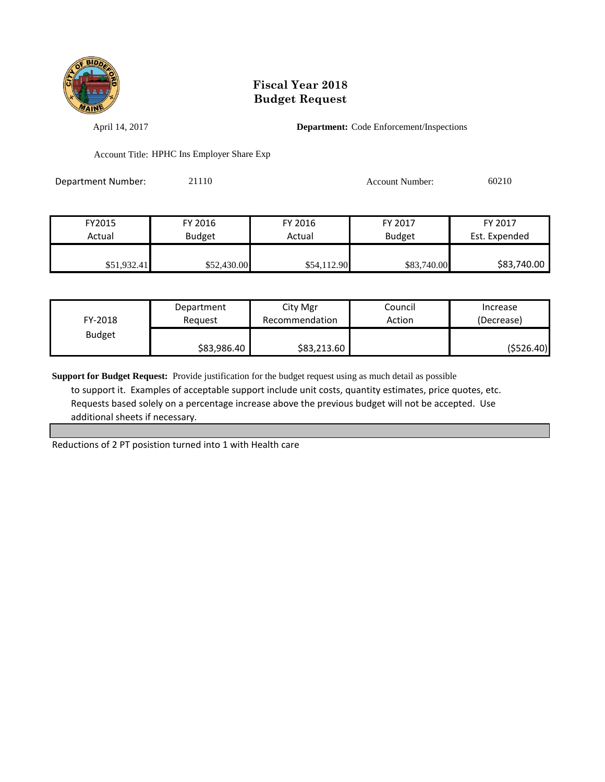

April 14, 2017 **Department:** Code Enforcement/Inspections

Account Title: HPHC Ins Employer Share Exp

| Department Number: | 21110 | Account Number: | 60210 |
|--------------------|-------|-----------------|-------|
|                    |       |                 |       |

| FY2015      | FY 2016       | FY 2016     | FY 2017       | FY 2017       |
|-------------|---------------|-------------|---------------|---------------|
| Actual      | <b>Budget</b> | Actual      | <b>Budget</b> | Est. Expended |
|             |               |             |               |               |
| \$51,932.41 | \$52,430.00   | \$54,112.90 | \$83,740.00   | \$83,740.00   |

| FY-2018       | Department  | City Mgr       | Council | Increase    |
|---------------|-------------|----------------|---------|-------------|
|               | Reauest     | Recommendation | Action  | (Decrease)  |
| <b>Budget</b> | \$83,986.40 | \$83,213.60    |         | ( \$526.40] |

**Support for Budget Request:** Provide justification for the budget request using as much detail as possible to support it. Examples of acceptable support include unit costs, quantity estimates, price quotes, etc. Requests based solely on a percentage increase above the previous budget will not be accepted. Use additional sheets if necessary.

Reductions of 2 PT posistion turned into 1 with Health care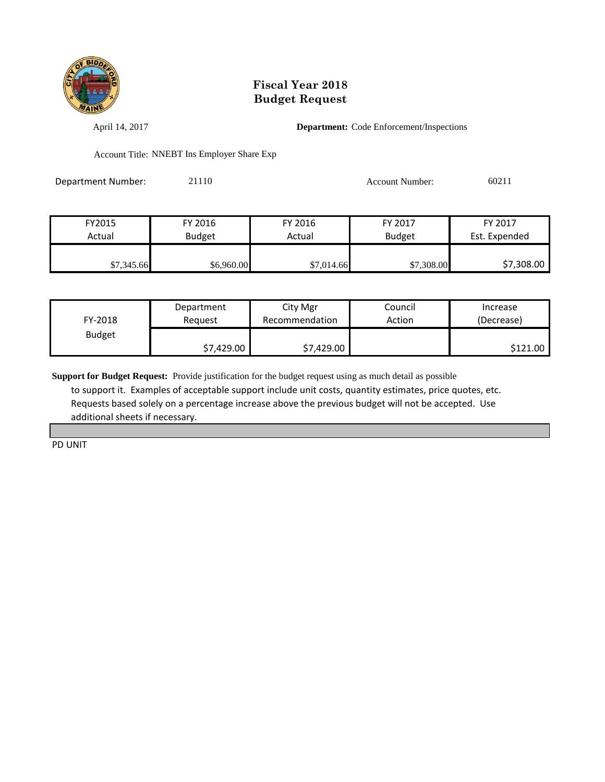

April 14, 2017 **Department:** Code Enforcement/Inspections

Account Title: NNEBT Ins Employer Share Exp

| Department Number: | 21110 | Account Number: | 60211 |
|--------------------|-------|-----------------|-------|
|                    |       |                 |       |

| FY2015     | FY 2016       | FY 2016    | FY 2017       | FY 2017       |
|------------|---------------|------------|---------------|---------------|
| Actual     | <b>Budget</b> | Actual     | <b>Budget</b> | Est. Expended |
|            |               |            |               |               |
| \$7,345.66 | \$6,960.00    | \$7,014.66 | \$7,308.00    | \$7,308.00    |

| FY-2018       | Department | City Mgr       | Council | Increase   |
|---------------|------------|----------------|---------|------------|
|               | Reauest    | Recommendation | Action  | (Decrease) |
| <b>Budget</b> | \$7,429.00 | \$7,429.00     |         | \$121.00   |

**Support for Budget Request:** Provide justification for the budget request using as much detail as possible to support it. Examples of acceptable support include unit costs, quantity estimates, price quotes, etc. Requests based solely on a percentage increase above the previous budget will not be accepted. Use additional sheets if necessary.

PD UNIT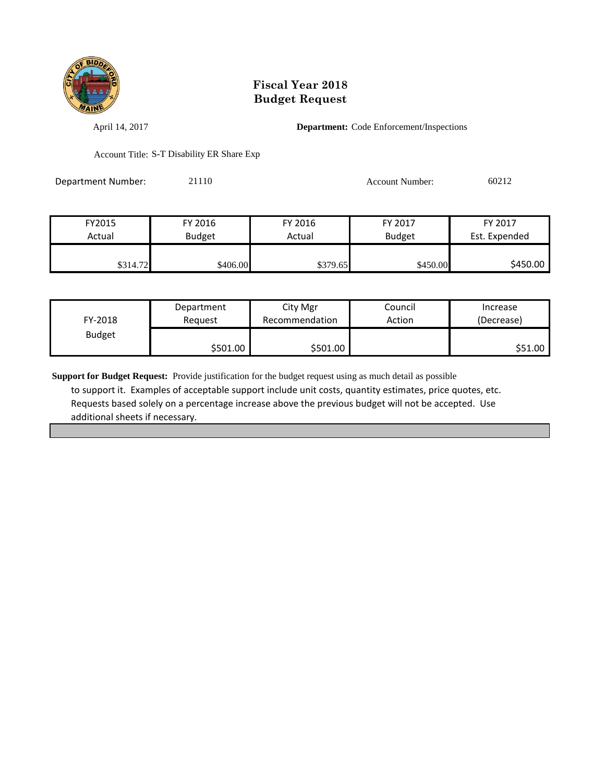

April 14, 2017 **Department:** Code Enforcement/Inspections

Account Title: S-T Disability ER Share Exp

Department Number: 21110 Account Number: 60212

| FY2015   | FY 2016       | FY 2016  | FY 2017       | FY 2017       |
|----------|---------------|----------|---------------|---------------|
| Actual   | <b>Budget</b> | Actual   | <b>Budget</b> | Est. Expended |
|          |               |          |               |               |
| \$314.72 | \$406.00      | \$379.65 | \$450.00      | \$450.00      |

| FY-2018       | Department | City Mgr       | Council | Increase   |
|---------------|------------|----------------|---------|------------|
|               | Reguest    | Recommendation | Action  | (Decrease) |
| <b>Budget</b> | \$501.00   | \$501.00       |         | \$51.00    |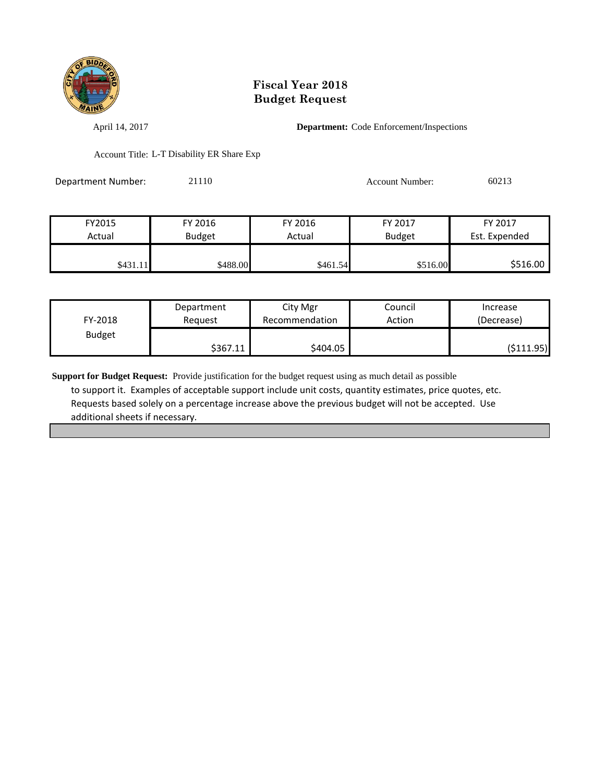

April 14, 2017 **Department:** Code Enforcement/Inspections

Account Title: L-T Disability ER Share Exp

Department Number: 21110 Account Number: 60213

| FY2015   | FY 2016       | FY 2016  | FY 2017       | FY 2017       |
|----------|---------------|----------|---------------|---------------|
| Actual   | <b>Budget</b> | Actual   | <b>Budget</b> | Est. Expended |
|          |               |          |               |               |
| \$431.11 | \$488.00      | \$461.54 | \$516.00      | \$516.00      |

| FY-2018       | Department | City Mgr       | Council | Increase   |
|---------------|------------|----------------|---------|------------|
|               | Reguest    | Recommendation | Action  | (Decrease) |
| <b>Budget</b> | \$367.11   | \$404.05       |         | (\$111.95) |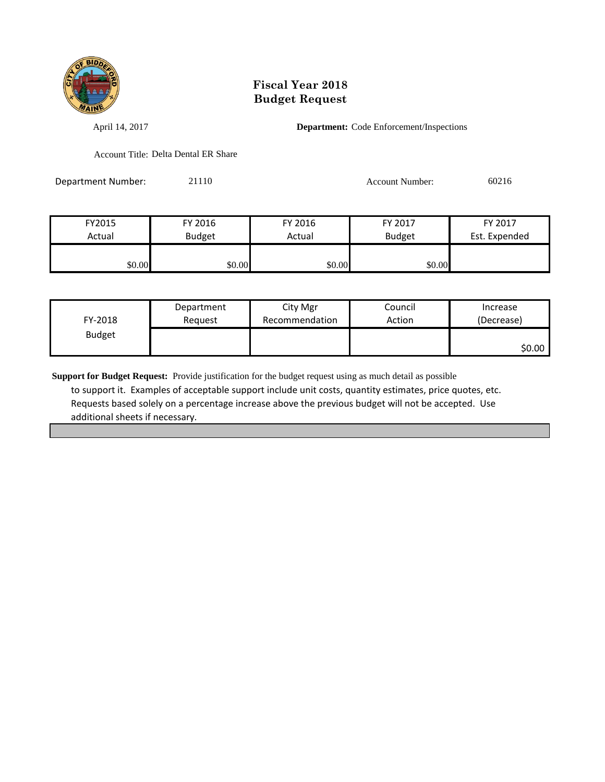

April 14, 2017 **Department:** Code Enforcement/Inspections

Account Title: Delta Dental ER Share

Department Number: 21110 Account Number: 60216

| FY2015 | FY 2016       | FY 2016 | FY 2017       | FY 2017       |
|--------|---------------|---------|---------------|---------------|
| Actual | <b>Budget</b> | Actual  | <b>Budget</b> | Est. Expended |
|        |               |         |               |               |
| \$0.00 | \$0.00        | \$0.00  | \$0.00        |               |

| FY-2018       | Department | City Mgr       | Council | Increase   |
|---------------|------------|----------------|---------|------------|
|               | Reguest    | Recommendation | Action  | (Decrease) |
| <b>Budget</b> |            |                |         | \$0.00     |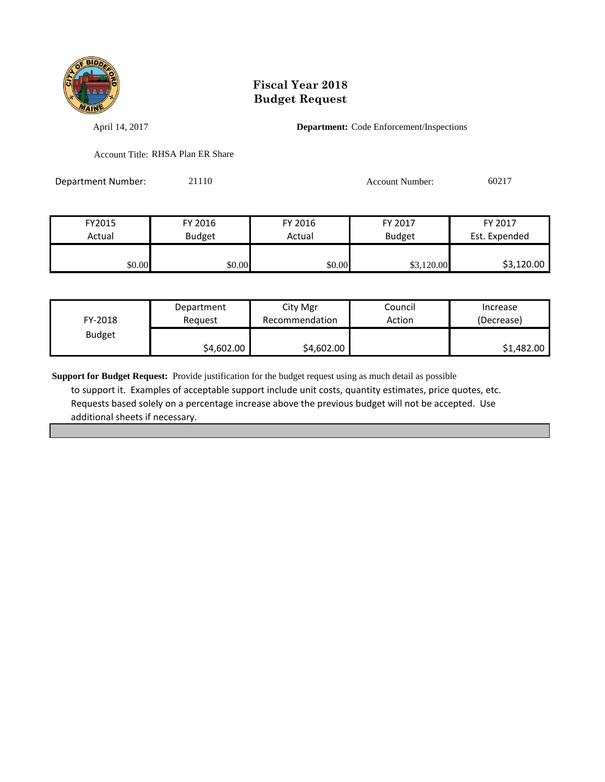

April 14, 2017 **Department:** Code Enforcement/Inspections

Account Title: RHSA Plan ER Share

Department Number: 21110 Account Number: 60217

| FY2015 | FY 2016       | FY 2016 | FY 2017       | FY 2017       |
|--------|---------------|---------|---------------|---------------|
| Actual | <b>Budget</b> | Actual  | <b>Budget</b> | Est. Expended |
| \$0.00 | \$0.00        | \$0.00  | \$3,120.00    | \$3,120.00    |

| FY-2018       | Department | City Mgr       | Council | Increase   |
|---------------|------------|----------------|---------|------------|
|               | Reauest    | Recommendation | Action  | (Decrease) |
| <b>Budget</b> | \$4,602.00 | \$4,602.00     |         | \$1,482.00 |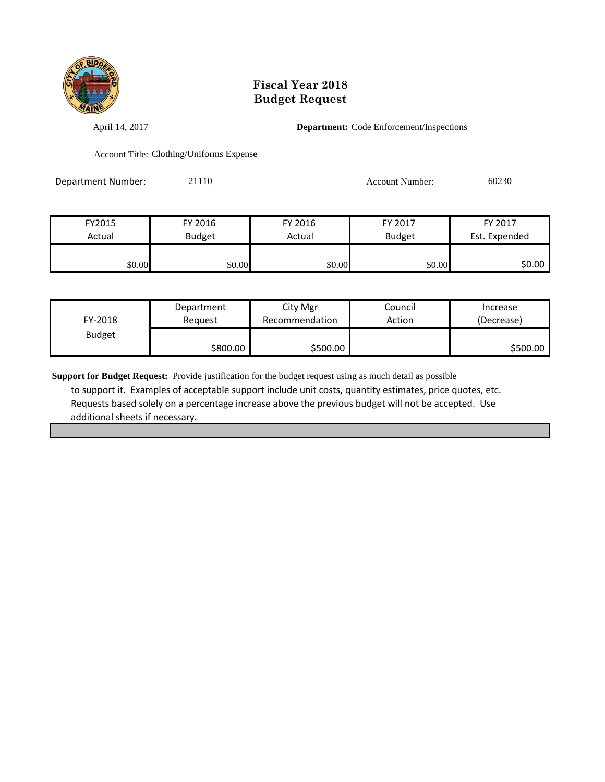

April 14, 2017 **Department:** Code Enforcement/Inspections

Account Title: Clothing/Uniforms Expense

| <b>Department Number:</b> | 21110 | Account Number: | 60230 |
|---------------------------|-------|-----------------|-------|
|                           |       |                 |       |

| FY2015 | FY 2016       | FY 2016 | FY 2017       | FY 2017       |
|--------|---------------|---------|---------------|---------------|
| Actual | <b>Budget</b> | Actual  | <b>Budget</b> | Est. Expended |
|        |               |         |               |               |
| \$0.00 | \$0.00        | \$0.00  | \$0.00        | \$0.00        |

| FY-2018       | Department | City Mgr       | Council | Increase   |
|---------------|------------|----------------|---------|------------|
|               | Reauest    | Recommendation | Action  | (Decrease) |
| <b>Budget</b> | \$800.00   | \$500.00       |         | \$500.00   |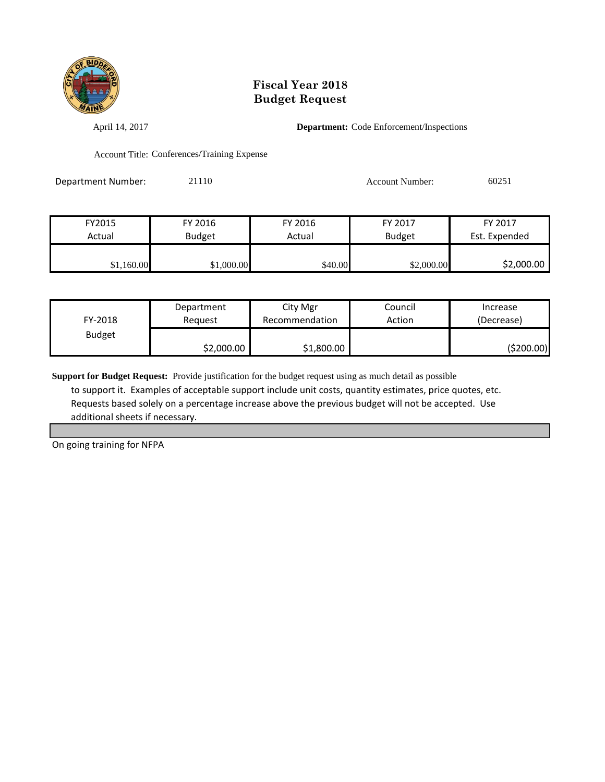

April 14, 2017 **Department:** Code Enforcement/Inspections

Account Title: Conferences/Training Expense

Department Number: 21110 21110 Account Number: 60251

| FY2015     | FY 2016       | FY 2016 | FY 2017       | FY 2017       |
|------------|---------------|---------|---------------|---------------|
| Actual     | <b>Budget</b> | Actual  | <b>Budget</b> | Est. Expended |
|            |               |         |               |               |
| \$1,160.00 | \$1,000.00    | \$40.00 | \$2,000.00    | \$2,000.00    |

| FY-2018       | Department | City Mgr       | Council | Increase   |
|---------------|------------|----------------|---------|------------|
|               | Reauest    | Recommendation | Action  | (Decrease) |
| <b>Budget</b> | \$2,000.00 | \$1,800.00     |         | (\$200.00) |

**Support for Budget Request:** Provide justification for the budget request using as much detail as possible to support it. Examples of acceptable support include unit costs, quantity estimates, price quotes, etc. Requests based solely on a percentage increase above the previous budget will not be accepted. Use additional sheets if necessary.

On going training for NFPA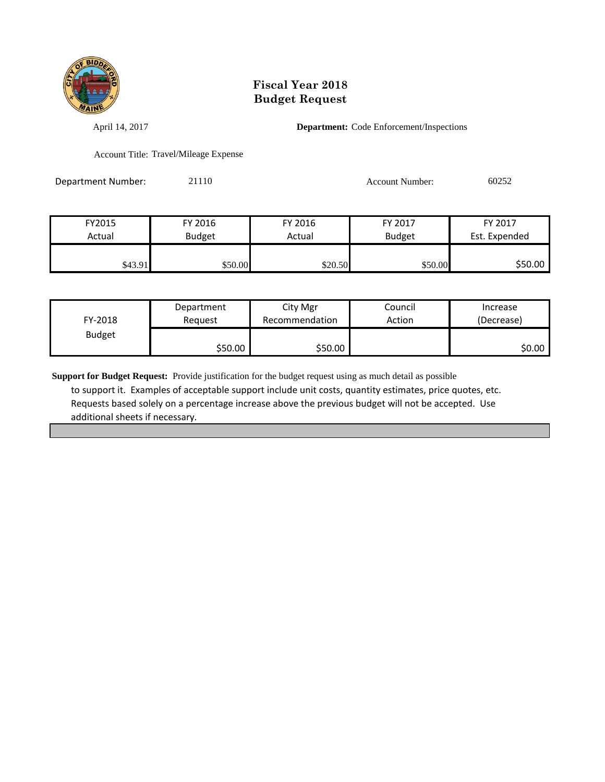

April 14, 2017 **Department:** Code Enforcement/Inspections

Account Title: Travel/Mileage Expense

Department Number: 21110 21110 Account Number: 60252

| FY2015  | FY 2016       | FY 2016 | FY 2017       | FY 2017       |
|---------|---------------|---------|---------------|---------------|
| Actual  | <b>Budget</b> | Actual  | <b>Budget</b> | Est. Expended |
|         |               |         |               |               |
| \$43.91 | \$50.00       | \$20.50 | \$50.00       | \$50.00       |

| FY-2018       | Department | City Mgr       | Council | Increase   |
|---------------|------------|----------------|---------|------------|
|               | Reauest    | Recommendation | Action  | (Decrease) |
| <b>Budget</b> | \$50.00    | \$50.00        |         | \$0.00∣    |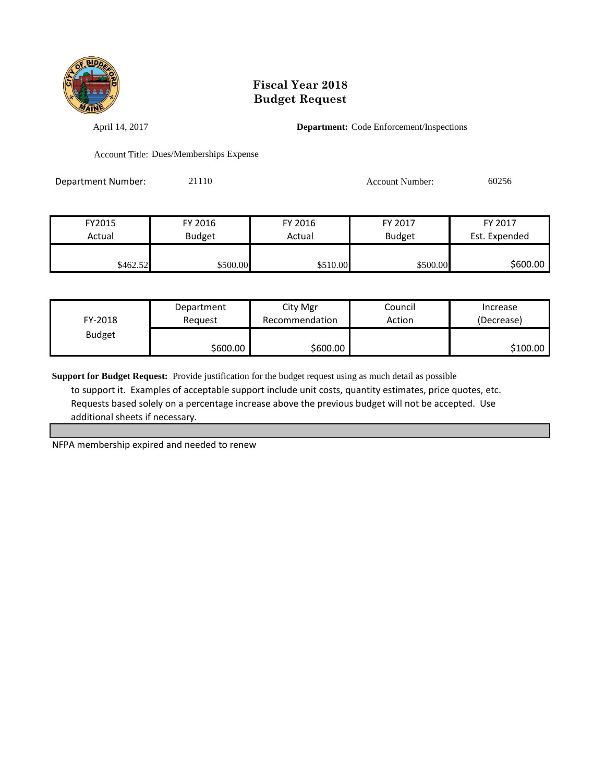

April 14, 2017 **Department:** Code Enforcement/Inspections

Account Title: Dues/Memberships Expense

Department Number: 21110 Account Number: 60256

| FY2015   | FY 2016       | FY 2016  | FY 2017       | FY 2017       |
|----------|---------------|----------|---------------|---------------|
| Actual   | <b>Budget</b> | Actual   | <b>Budget</b> | Est. Expended |
|          |               |          |               |               |
| \$462.52 | \$500.00      | \$510.00 | \$500.00      | \$600.00      |

| FY-2018       | Department | City Mgr       | Council | Increase   |
|---------------|------------|----------------|---------|------------|
|               | Reauest    | Recommendation | Action  | (Decrease) |
| <b>Budget</b> | \$600.00   | \$600.00       |         | \$100.00   |

**Support for Budget Request:** Provide justification for the budget request using as much detail as possible to support it. Examples of acceptable support include unit costs, quantity estimates, price quotes, etc. Requests based solely on a percentage increase above the previous budget will not be accepted. Use additional sheets if necessary.

NFPA membership expired and needed to renew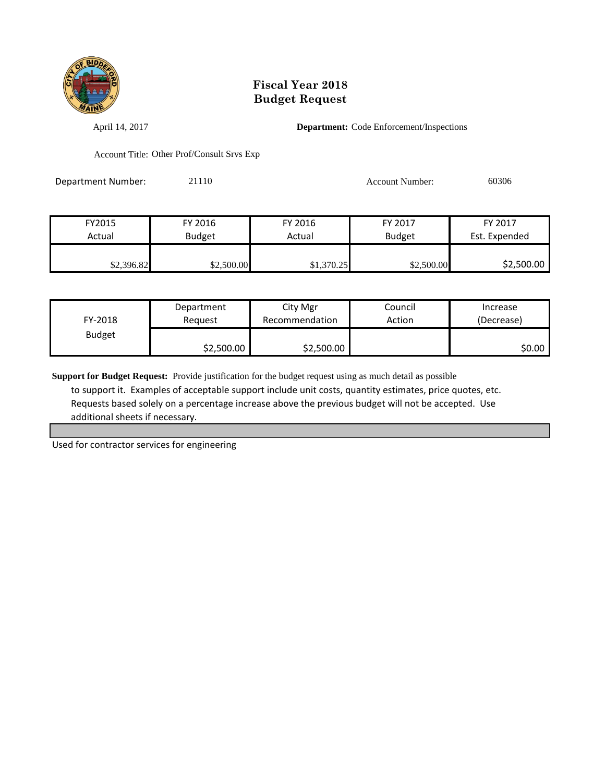

April 14, 2017 **Department:** Code Enforcement/Inspections

Account Title: Other Prof/Consult Srvs Exp

Department Number: 21110 21110 Account Number: 60306

| FY2015     | FY 2016       | FY 2016    | FY 2017       | FY 2017       |
|------------|---------------|------------|---------------|---------------|
| Actual     | <b>Budget</b> | Actual     | <b>Budget</b> | Est. Expended |
|            |               |            |               |               |
| \$2,396.82 | \$2,500.00    | \$1,370.25 | \$2,500.00    | \$2,500.00    |

| FY-2018       | Department | City Mgr       | Council | Increase   |
|---------------|------------|----------------|---------|------------|
|               | Reauest    | Recommendation | Action  | (Decrease) |
| <b>Budget</b> | \$2,500.00 | \$2,500.00     |         | \$0.00     |

**Support for Budget Request:** Provide justification for the budget request using as much detail as possible to support it. Examples of acceptable support include unit costs, quantity estimates, price quotes, etc. Requests based solely on a percentage increase above the previous budget will not be accepted. Use additional sheets if necessary.

Used for contractor services for engineering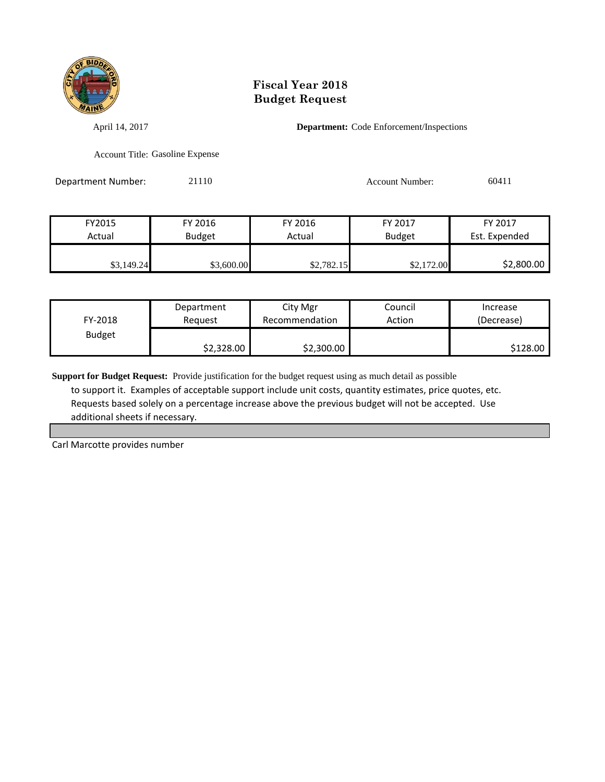

April 14, 2017 **Department:** Code Enforcement/Inspections

Account Title: Gasoline Expense

Department Number: 21110 21110 Account Number: 60411

| FY2015     | FY 2016       | FY 2016    | FY 2017       | FY 2017       |
|------------|---------------|------------|---------------|---------------|
| Actual     | <b>Budget</b> | Actual     | <b>Budget</b> | Est. Expended |
|            |               |            |               |               |
| \$3,149.24 | \$3,600.00    | \$2,782.15 | \$2,172.00    | \$2,800.00    |

| FY-2018       | Department | City Mgr       | Council | Increase   |
|---------------|------------|----------------|---------|------------|
|               | Reauest    | Recommendation | Action  | (Decrease) |
| <b>Budget</b> | \$2,328.00 | \$2,300.00     |         | \$128.00   |

**Support for Budget Request:** Provide justification for the budget request using as much detail as possible to support it. Examples of acceptable support include unit costs, quantity estimates, price quotes, etc. Requests based solely on a percentage increase above the previous budget will not be accepted. Use additional sheets if necessary.

Carl Marcotte provides number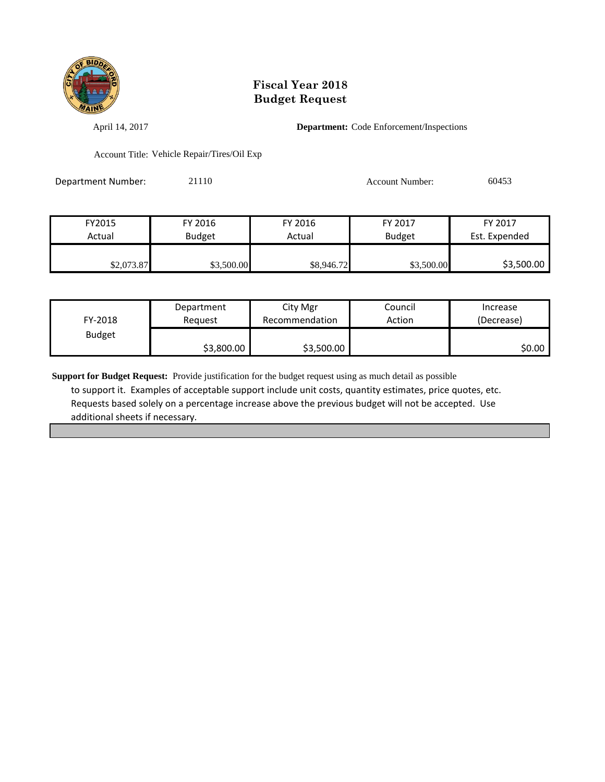

April 14, 2017 **Department:** Code Enforcement/Inspections

Account Title: Vehicle Repair/Tires/Oil Exp

| Department Number: | 21110 | <b>Account Number:</b> | 60453 |
|--------------------|-------|------------------------|-------|
|                    |       |                        |       |

| FY2015     | FY 2016       | FY 2016    | FY 2017       | FY 2017       |
|------------|---------------|------------|---------------|---------------|
| Actual     | <b>Budget</b> | Actual     | <b>Budget</b> | Est. Expended |
|            |               |            |               |               |
| \$2,073.87 | \$3,500.00    | \$8,946.72 | \$3,500.00    | \$3,500.00    |

| FY-2018       | Department | City Mgr       | Council | Increase   |
|---------------|------------|----------------|---------|------------|
|               | Reauest    | Recommendation | Action  | (Decrease) |
| <b>Budget</b> | \$3,800.00 | \$3,500.00     |         | SO.OO I    |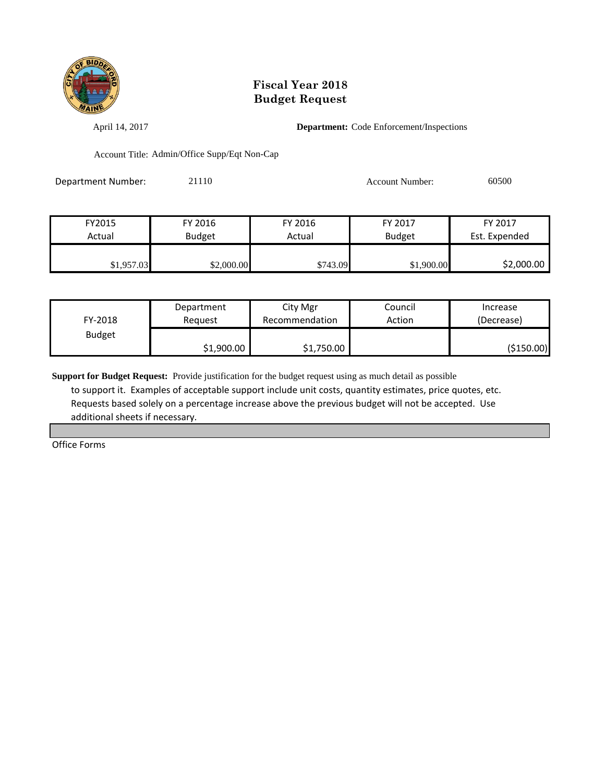

April 14, 2017 **Department:** Code Enforcement/Inspections

Account Title: Admin/Office Supp/Eqt Non-Cap

Department Number: 21110 21110 Account Number: 60500

| FY2015     | FY 2016       | FY 2016  | FY 2017       | FY 2017       |
|------------|---------------|----------|---------------|---------------|
| Actual     | <b>Budget</b> | Actual   | <b>Budget</b> | Est. Expended |
|            |               |          |               |               |
| \$1,957.03 | \$2,000.00    | \$743.09 | \$1,900.00    | \$2,000.00    |

| FY-2018       | Department | City Mgr       | Council | Increase    |
|---------------|------------|----------------|---------|-------------|
|               | Reauest    | Recommendation | Action  | (Decrease)  |
| <b>Budget</b> | \$1,900.00 | \$1,750.00     |         | ( \$150.00) |

**Support for Budget Request:** Provide justification for the budget request using as much detail as possible to support it. Examples of acceptable support include unit costs, quantity estimates, price quotes, etc. Requests based solely on a percentage increase above the previous budget will not be accepted. Use additional sheets if necessary.

Office Forms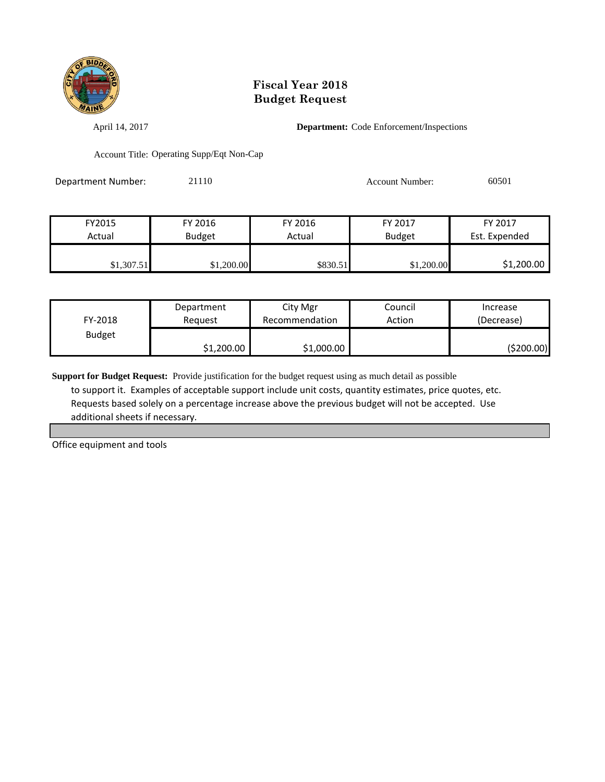

April 14, 2017 **Department:** Code Enforcement/Inspections

Account Title: Operating Supp/Eqt Non-Cap

Department Number: 21110 21110 Account Number: 60501

| FY2015     | FY 2016       | FY 2016  | FY 2017       | FY 2017       |
|------------|---------------|----------|---------------|---------------|
| Actual     | <b>Budget</b> | Actual   | <b>Budget</b> | Est. Expended |
|            |               |          |               |               |
| \$1,307.51 | \$1,200.00    | \$830.51 | \$1,200.00    | \$1,200.00    |

| FY-2018       | Department | City Mgr       | Council | Increase   |
|---------------|------------|----------------|---------|------------|
|               | Reauest    | Recommendation | Action  | (Decrease) |
| <b>Budget</b> | \$1,200.00 | \$1,000.00     |         | (\$200.00) |

**Support for Budget Request:** Provide justification for the budget request using as much detail as possible to support it. Examples of acceptable support include unit costs, quantity estimates, price quotes, etc. Requests based solely on a percentage increase above the previous budget will not be accepted. Use additional sheets if necessary.

Office equipment and tools